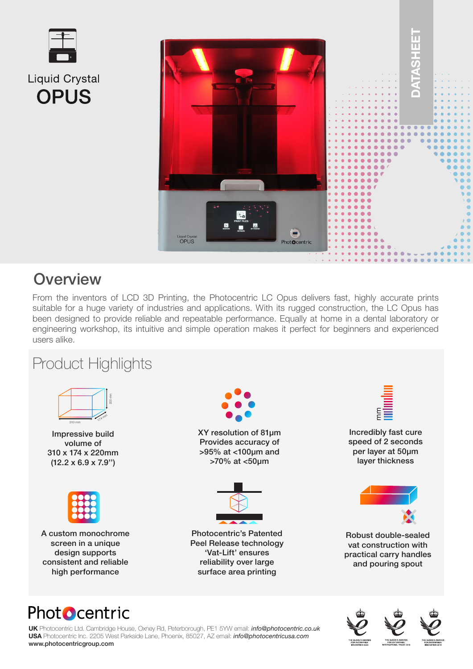



## **Overview**

From the inventors of LCD 3D Printing, the Photocentric LC Opus delivers fast, highly accurate prints suitable for a huge variety of industries and applications. With its rugged construction, the LC Opus has been designed to provide reliable and repeatable performance. Equally at home in a dental laboratory or engineering workshop, its intuitive and simple operation makes it perfect for beginners and experienced users alike.

## Product Highlights



Impressive build volume of 310 x 174 x 220mm (12.2 x 6.9 x 7.9'')



A custom monochrome screen in a unique design supports consistent and reliable high performance



**UK** Photocentric Ltd. Cambridge House, Oxney Rd, Peterborough, PE1 5YW email: *info@photocentric.co.uk* **USA** Photocentric Inc. 2205 West Parkside Lane, Phoenix, 85027, AZ email: *info@photocentricusa.com* www.photocentricgroup.com



XY resolution of 81µm Provides accuracy of >95% at <100µm and >70% at <50µm



Photocentric's Patented Peel Release technology 'Vat-Lift' ensures reliability over large surface area printing



Robust double-sealed vat construction with practical carry handles and pouring spout

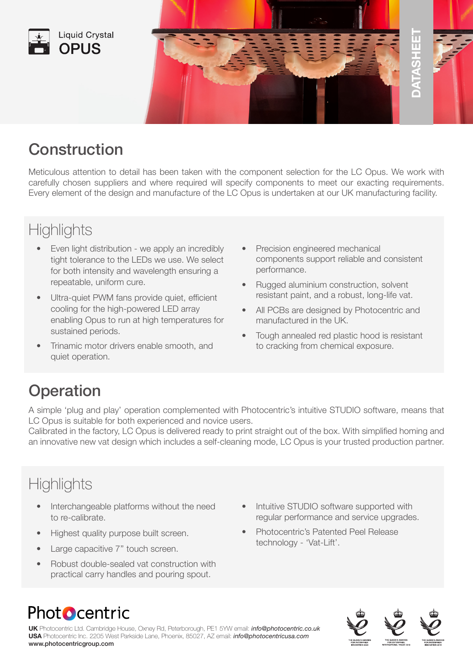



## Construction

Meticulous attention to detail has been taken with the component selection for the LC Opus. We work with carefully chosen suppliers and where required will specify components to meet our exacting requirements. Every element of the design and manufacture of the LC Opus is undertaken at our UK manufacturing facility.

## **Highlights**

- Even light distribution we apply an incredibly tight tolerance to the LEDs we use. We select for both intensity and wavelength ensuring a repeatable, uniform cure.
- Ultra-quiet PWM fans provide quiet, efficient cooling for the high-powered LED array enabling Opus to run at high temperatures for sustained periods.
- Trinamic motor drivers enable smooth, and quiet operation.
- Precision engineered mechanical components support reliable and consistent performance.
- Rugged aluminium construction, solvent resistant paint, and a robust, long-life vat.
- All PCBs are designed by Photocentric and manufactured in the UK.
- Tough annealed red plastic hood is resistant to cracking from chemical exposure.

# **Operation**

A simple 'plug and play' operation complemented with Photocentric's intuitive STUDIO software, means that LC Opus is suitable for both experienced and novice users.

Calibrated in the factory, LC Opus is delivered ready to print straight out of the box. With simplified homing and an innovative new vat design which includes a self-cleaning mode, LC Opus is your trusted production partner.

# **Highlights**

- Interchangeable platforms without the need to re-calibrate.
- Highest quality purpose built screen.
- Large capacitive 7" touch screen.
- Robust double-sealed vat construction with practical carry handles and pouring spout.
- Intuitive STUDIO software supported with regular performance and service upgrades.
- Photocentric's Patented Peel Release technology - 'Vat-Lift'.

# **Photocentric**

**UK** Photocentric Ltd. Cambridge House, Oxney Rd, Peterborough, PE1 5YW email: *info@photocentric.co.uk* **USA** Photocentric Inc. 2205 West Parkside Lane, Phoenix, 85027, AZ email: *info@photocentricusa.com* www.photocentricgroup.com